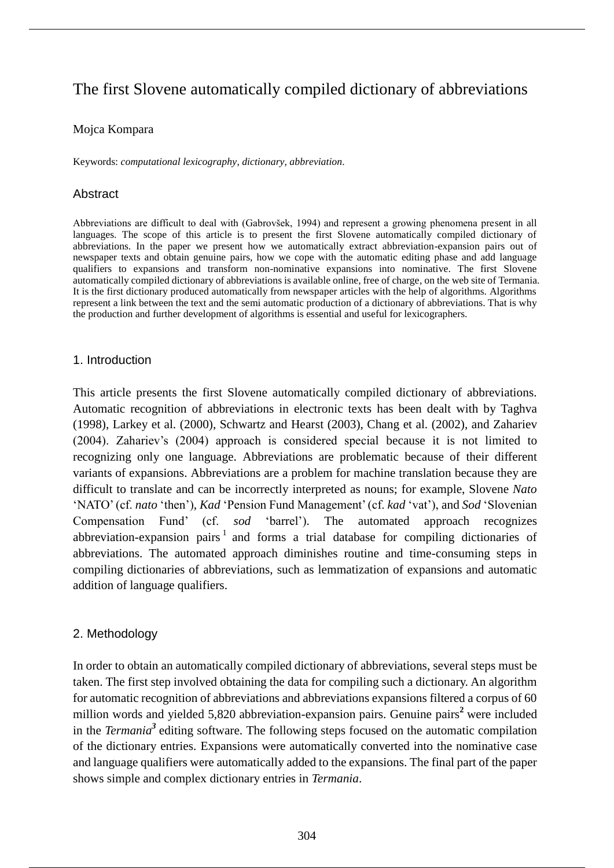# The first Slovene automatically compiled dictionary of abbreviations

### Mojca Kompara

Keywords: *computational lexicography*, *dictionary*, *abbreviation*.

# Abstract

Abbreviations are difficult to deal with (Gabrovšek, 1994) and represent a growing phenomena present in all languages. The scope of this article is to present the first Slovene automatically compiled dictionary of abbreviations. In the paper we present how we automatically extract abbreviation-expansion pairs out of newspaper texts and obtain genuine pairs, how we cope with the automatic editing phase and add language qualifiers to expansions and transform non-nominative expansions into nominative. The first Slovene automatically compiled dictionary of abbreviations is available online, free of charge, on the web site of Termania. It is the first dictionary produced automatically from newspaper articles with the help of algorithms. Algorithms represent a link between the text and the semi automatic production of a dictionary of abbreviations. That is why the production and further development of algorithms is essential and useful for lexicographers.

### 1. Introduction

This article presents the first Slovene automatically compiled dictionary of abbreviations. Automatic recognition of abbreviations in electronic texts has been dealt with by Taghva (1998), Larkey et al. (2000), Schwartz and Hearst (2003), Chang et al. (2002), and Zahariev (2004). Zahariev's (2004) approach is considered special because it is not limited to recognizing only one language. Abbreviations are problematic because of their different variants of expansions. Abbreviations are a problem for machine translation because they are difficult to translate and can be incorrectly interpreted as nouns; for example, Slovene *Nato* 'NATO' (cf. *nato* 'then'), *Kad* 'Pension Fund Management' (cf. *kad* 'vat'), and *Sod* 'Slovenian Compensation Fund' (cf. *sod* 'barrel'). The automated approach recognizes abbreviation-expansion pairs<sup>1</sup> and forms a trial database for compiling dictionaries of abbreviations. The automated approach diminishes routine and time-consuming steps in compiling dictionaries of abbreviations, such as lemmatization of expansions and automatic addition of language qualifiers.

# 2. Methodology

In order to obtain an automatically compiled dictionary of abbreviations, several steps must be taken. The first step involved obtaining the data for compiling such a dictionary. An algorithm for automatic recognition of abbreviations and abbreviations expansions filtered a corpus of 60 million words and yielded 5,820 abbreviation-expansion pairs. Genuine pairs**<sup>2</sup>** were included in the *Termania<sup>3</sup>* editing software. The following steps focused on the automatic compilation of the dictionary entries. Expansions were automatically converted into the nominative case and language qualifiers were automatically added to the expansions. The final part of the paper shows simple and complex dictionary entries in *Termania*.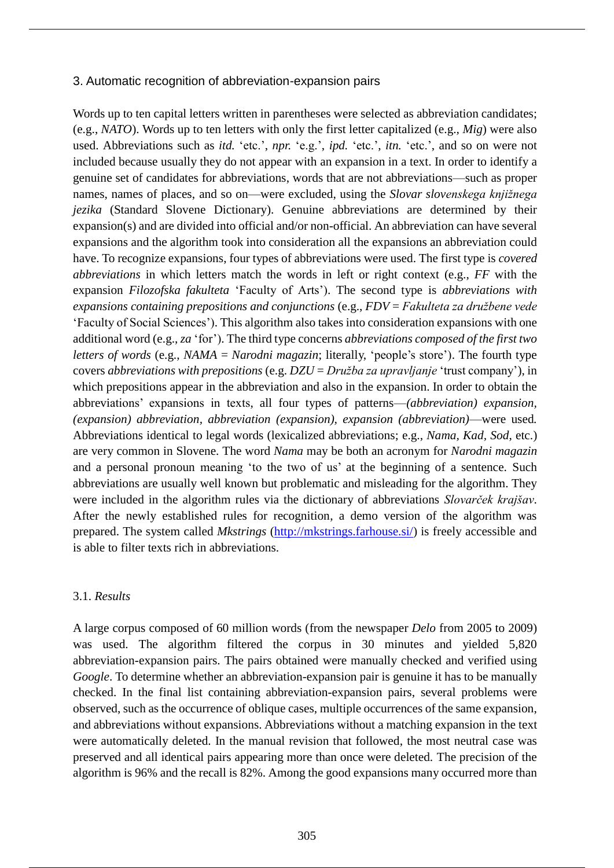#### 3. Automatic recognition of abbreviation-expansion pairs

Words up to ten capital letters written in parentheses were selected as abbreviation candidates; (e.g., *NATO*). Words up to ten letters with only the first letter capitalized (e.g., *Mig*) were also used. Abbreviations such as *itd.* 'etc.', *npr.* 'e.g.', *ipd.* 'etc.', *itn.* 'etc.', and so on were not included because usually they do not appear with an expansion in a text. In order to identify a genuine set of candidates for abbreviations, words that are not abbreviations—such as proper names, names of places, and so on—were excluded, using the *Slovar slovenskega knjižnega jezika* (Standard Slovene Dictionary). Genuine abbreviations are determined by their expansion(s) and are divided into official and/or non-official. An abbreviation can have several expansions and the algorithm took into consideration all the expansions an abbreviation could have. To recognize expansions, four types of abbreviations were used. The first type is *covered abbreviations* in which letters match the words in left or right context (e.g., *FF* with the expansion *Filozofska fakulteta* 'Faculty of Arts'). The second type is *abbreviations with expansions containing prepositions and conjunctions* (e.g., *FDV* = *Fakulteta za družbene vede* 'Faculty of Social Sciences'). This algorithm also takes into consideration expansions with one additional word (e.g., *za* 'for'). The third type concerns *abbreviations composed of the first two letters of words* (e.g., *NAMA* = *Narodni magazin*; literally, 'people's store'). The fourth type covers *abbreviations with prepositions* (e.g. *DZU* = *Družba za upravljanje* 'trust company'), in which prepositions appear in the abbreviation and also in the expansion. In order to obtain the abbreviations' expansions in texts, all four types of patterns—*(abbreviation) expansion, (expansion) abbreviation, abbreviation (expansion), expansion (abbreviation)*—were used*.* Abbreviations identical to legal words (lexicalized abbreviations; e.g., *Nama, Kad, Sod*, etc.) are very common in Slovene. The word *Nama* may be both an acronym for *Narodni magazin* and a personal pronoun meaning 'to the two of us' at the beginning of a sentence. Such abbreviations are usually well known but problematic and misleading for the algorithm. They were included in the algorithm rules via the dictionary of abbreviations *Slovarček krajšav*. After the newly established rules for recognition, a demo version of the algorithm was prepared. The system called *Mkstrings* (http://mkstrings.farhouse.si/) is freely accessible and is able to filter texts rich in abbreviations.

#### 3.1. *Results*

A large corpus composed of 60 million words (from the newspaper *Delo* from 2005 to 2009) was used. The algorithm filtered the corpus in 30 minutes and yielded 5,820 abbreviation-expansion pairs. The pairs obtained were manually checked and verified using *Google*. To determine whether an abbreviation-expansion pair is genuine it has to be manually checked. In the final list containing abbreviation-expansion pairs, several problems were observed, such as the occurrence of oblique cases, multiple occurrences of the same expansion, and abbreviations without expansions. Abbreviations without a matching expansion in the text were automatically deleted. In the manual revision that followed, the most neutral case was preserved and all identical pairs appearing more than once were deleted. The precision of the algorithm is 96% and the recall is 82%. Among the good expansions many occurred more than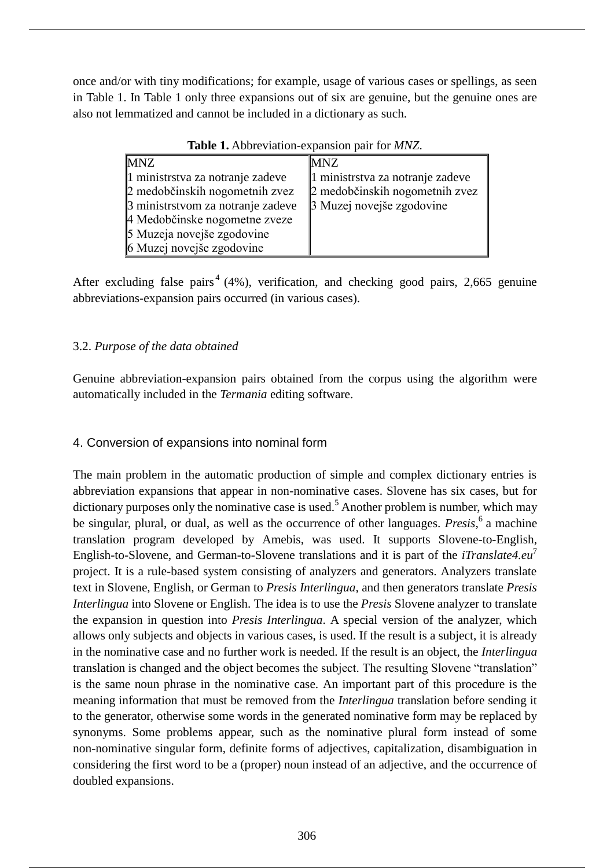once and/or with tiny modifications; for example, usage of various cases or spellings, as seen in Table 1. In Table 1 only three expansions out of six are genuine, but the genuine ones are also not lemmatized and cannot be included in a dictionary as such.

| <b>Table 1.</b> Abbreviation-expansion pair for <i>MINZ</i> . |                                  |  |
|---------------------------------------------------------------|----------------------------------|--|
| <b>MNZ</b>                                                    | MNZ                              |  |
| 1 ministrstva za notranje zadeve                              | 1 ministrstva za notranje zadeve |  |
| 2 medobčinskih nogometnih zvez                                | 2 medobčinskih nogometnih zvez   |  |
| 3 ministrstvom za notranje zadeve                             | 3 Muzej novejše zgodovine        |  |
| 4 Medobčinske nogometne zveze                                 |                                  |  |
| 5 Muzeja novejše zgodovine                                    |                                  |  |
| 6 Muzej novejše zgodovine                                     |                                  |  |

**Table 1.** Abbreviation-expansion pair for *MNZ*.

After excluding false pairs<sup>4</sup> (4%), verification, and checking good pairs, 2,665 genuine abbreviations-expansion pairs occurred (in various cases).

# 3.2. *Purpose of the data obtained*

Genuine abbreviation-expansion pairs obtained from the corpus using the algorithm were automatically included in the *Termania* editing software.

# 4. Conversion of expansions into nominal form

The main problem in the automatic production of simple and complex dictionary entries is abbreviation expansions that appear in non-nominative cases. Slovene has six cases, but for dictionary purposes only the nominative case is used.<sup>5</sup> Another problem is number, which may be singular, plural, or dual, as well as the occurrence of other languages. *Presis*, 6 a machine translation program developed by Amebis, was used. It supports Slovene-to-English, English-to-Slovene, and German-to-Slovene translations and it is part of the *iTranslate4.eu*<sup>7</sup> project. It is a rule-based system consisting of analyzers and generators. Analyzers translate text in Slovene, English, or German to *Presis Interlingua*, and then generators translate *Presis Interlingua* into Slovene or English. The idea is to use the *Presis* Slovene analyzer to translate the expansion in question into *Presis Interlingua*. A special version of the analyzer, which allows only subjects and objects in various cases, is used. If the result is a subject, it is already in the nominative case and no further work is needed. If the result is an object, the *Interlingua* translation is changed and the object becomes the subject. The resulting Slovene "translation" is the same noun phrase in the nominative case. An important part of this procedure is the meaning information that must be removed from the *Interlingua* translation before sending it to the generator, otherwise some words in the generated nominative form may be replaced by synonyms. Some problems appear, such as the nominative plural form instead of some non-nominative singular form, definite forms of adjectives, capitalization, disambiguation in considering the first word to be a (proper) noun instead of an adjective, and the occurrence of doubled expansions.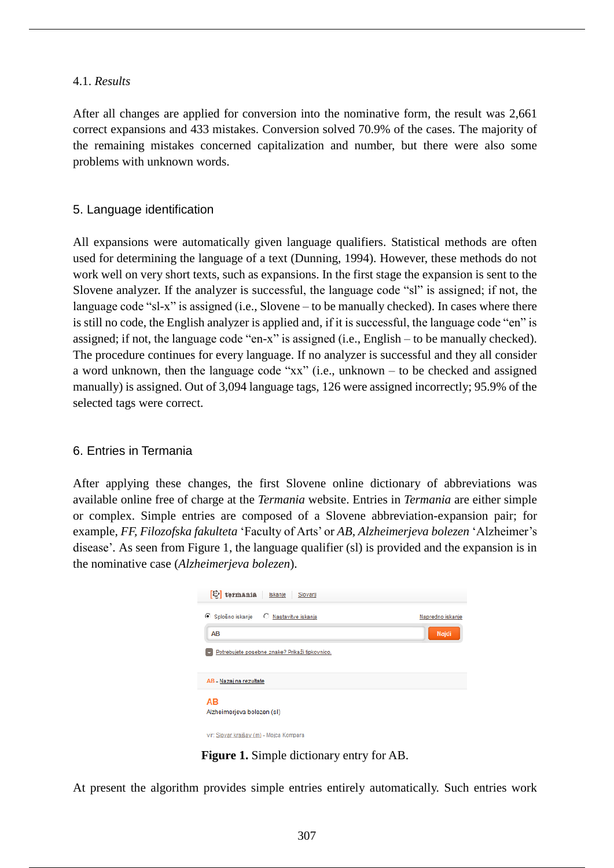### 4.1. *Results*

After all changes are applied for conversion into the nominative form, the result was 2,661 correct expansions and 433 mistakes. Conversion solved 70.9% of the cases. The majority of the remaining mistakes concerned capitalization and number, but there were also some problems with unknown words.

### 5. Language identification

All expansions were automatically given language qualifiers. Statistical methods are often used for determining the language of a text (Dunning, 1994). However, these methods do not work well on very short texts, such as expansions. In the first stage the expansion is sent to the Slovene analyzer. If the analyzer is successful, the language code "sl" is assigned; if not, the language code "sl-x" is assigned (i.e., Slovene – to be manually checked). In cases where there is still no code, the English analyzer is applied and, if it is successful, the language code "en" is assigned; if not, the language code "en-x" is assigned (i.e., English – to be manually checked). The procedure continues for every language. If no analyzer is successful and they all consider a word unknown, then the language code "xx" (i.e., unknown – to be checked and assigned manually) is assigned. Out of 3,094 language tags, 126 were assigned incorrectly; 95.9% of the selected tags were correct.

# 6. Entries in Termania

After applying these changes, the first Slovene online dictionary of abbreviations was available online free of charge at the *Termania* website. Entries in *Termania* are either simple or complex. Simple entries are composed of a Slovene abbreviation-expansion pair; for example, *FF, Filozofska fakulteta* 'Faculty of Arts' or *AB, Alzheimerjeva bolezen* 'Alzheimer's disease'*.* As seen from Figure 1, the language qualifier (sl) is provided and the expansion is in the nominative case (*Alzheimerjeva bolezen*).



**Figure 1.** Simple dictionary entry for AB.

At present the algorithm provides simple entries entirely automatically. Such entries work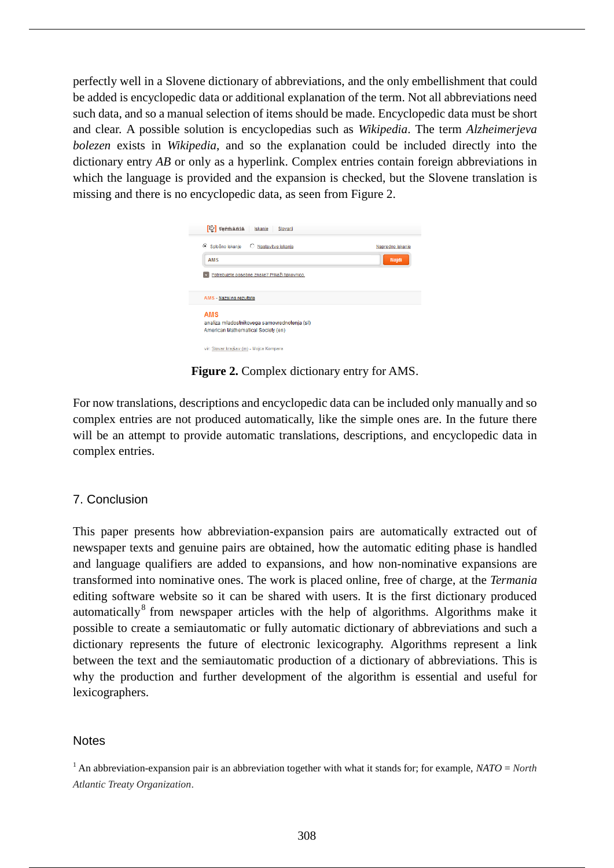perfectly well in a Slovene dictionary of abbreviations, and the only embellishment that could be added is encyclopedic data or additional explanation of the term. Not all abbreviations need such data, and so a manual selection of items should be made. Encyclopedic data must be short and clear. A possible solution is encyclopedias such as *Wikipedia*. The term *Alzheimerjeva bolezen* exists in *Wikipedia*, and so the explanation could be included directly into the dictionary entry *AB* or only as a hyperlink. Complex entries contain foreign abbreviations in which the language is provided and the expansion is checked, but the Slovene translation is missing and there is no encyclopedic data, as seen from Figure 2.

| <sup>[1]</sup> termania<br>Iskanje<br>Slovarji                                                   |                           |
|--------------------------------------------------------------------------------------------------|---------------------------|
| C Splošno iskanje<br>○ Nastavitve iskanja<br><b>AMS</b>                                          | Napredno iskanje<br>Najdi |
| Potrebujete posebne znake? Prikaži tipkovnico.                                                   |                           |
| AMS - Nazaj na rezultate                                                                         |                           |
| <b>AMS</b><br>analiza mladostnikovega samovrednotenja (sl)<br>American Mathematical Society (en) |                           |
| vir: Slovar krajšav (m) - Mojca Kompara                                                          |                           |

**Figure 2.** Complex dictionary entry for AMS.

For now translations, descriptions and encyclopedic data can be included only manually and so complex entries are not produced automatically, like the simple ones are. In the future there will be an attempt to provide automatic translations, descriptions, and encyclopedic data in complex entries.

# 7. Conclusion

This paper presents how abbreviation-expansion pairs are automatically extracted out of newspaper texts and genuine pairs are obtained, how the automatic editing phase is handled and language qualifiers are added to expansions, and how non-nominative expansions are transformed into nominative ones. The work is placed online, free of charge, at the *Termania* editing software website so it can be shared with users. It is the first dictionary produced automatically $8$  from newspaper articles with the help of algorithms. Algorithms make it possible to create a semiautomatic or fully automatic dictionary of abbreviations and such a dictionary represents the future of electronic lexicography. Algorithms represent a link between the text and the semiautomatic production of a dictionary of abbreviations. This is why the production and further development of the algorithm is essential and useful for lexicographers.

### Notes

<sup>&</sup>lt;sup>1</sup> An abbreviation-expansion pair is an abbreviation together with what it stands for; for example,  $NATO = North$ *Atlantic Treaty Organization*.